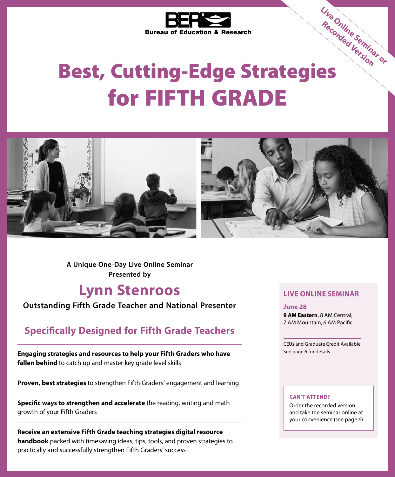

## Bureau of Education.<br>
Best, Cutting-Edge Strategies for FIFTH GRADE **Live Online Seminar or Recorded Version**



**A Unique One-Day Live Online Seminar Presented by**

### **Lynn Stenroos**

### **Outstanding Fifth Grade Teacher and National Presenter**

### **Specifically Designed for Fifth Grade Teachers**

**Engaging strategies and resources to help your Fifth Graders who have fallen behind** to catch up and master key grade level skills

**Proven, best strategies** to strengthen Fifth Graders' engagement and learning

**Specific ways to strengthen and accelerate** the reading, writing and math growth of your Fifth Graders

**Receive an extensive Fifth Grade teaching strategies digital resource handbook** packed with timesaving ideas, tips, tools, and proven strategies to practically and successfully strengthen Fifth Graders' success

### **LIVE ONLINE SEMINAR**

**June 28**

**9 AM Eastern**, 8 AM Central, 7 AM Mountain, 6 AM Pacific

CEUs and Graduate Credit Available See page 6 for details

#### **CAN'T ATTEND?**

Order the recorded version and take the seminar online at your convenience (see page 6)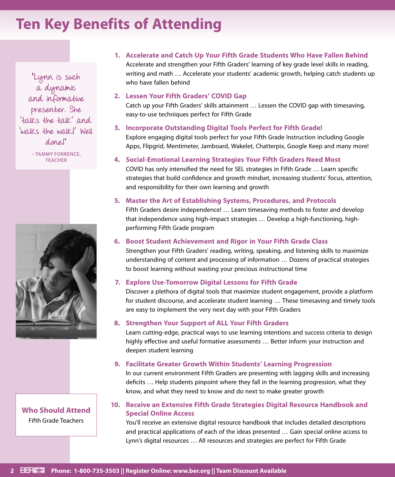### **Ten Key Benefits of Attending**

"Lynn is such a dynamic and informative presenter. She 'talks the talk' and 'walks the walk!' Well done!"

**– TAMMY FORRENCE, TEACHER**



**Who Should Attend** Fifth Grade Teachers

### **1. Accelerate and Catch Up Your Fifth Grade Students Who Have Fallen Behind**  Accelerate and strengthen your Fifth Graders' learning of key grade level skills in reading, writing and math … Accelerate your students' academic growth, helping catch students up who have fallen behind

#### **2. Lessen Your Fifth Graders' COVID Gap**

Catch up your Fifth Graders' skills attainment … Lessen the COVID gap with timesaving, easy-to-use techniques perfect for Fifth Grade

### **3. Incorporate Outstanding Digital Tools Perfect for Fifth Grade!**

Explore engaging digital tools perfect for your Fifth Grade Instruction including Google Apps, Flipgrid, Mentimeter, Jamboard, Wakelet, Chatterpix, Google Keep and many more!

#### **4. Social-Emotional Learning Strategies Your Fifth Graders Need Most**

COVID has only intensified the need for SEL strategies in Fifth Grade … Learn specific strategies that build confidence and growth mindset, increasing students' focus, attention, and responsibility for their own learning and growth

#### **5. Master the Art of Establishing Systems, Procedures, and Protocols**

Fifth Graders desire independence! … Learn timesaving methods to foster and develop that independence using high-impact strategies … Develop a high-functioning, highperforming Fifth Grade program

### **6. Boost Student Achievement and Rigor in Your Fifth Grade Class**

Strengthen your Fifth Graders' reading, writing, speaking, and listening skills to maximize understanding of content and processing of information … Dozens of practical strategies to boost learning without wasting your precious instructional time

### **7. Explore Use-Tomorrow Digital Lessons for Fifth Grade**

Discover a plethora of digital tools that maximize student engagement, provide a platform for student discourse, and accelerate student learning … These timesaving and timely tools are easy to implement the very next day with your Fifth Graders

### **8. Strengthen Your Support of ALL Your Fifth Graders**

Learn cutting-edge, practical ways to use learning intentions and success criteria to design highly effective and useful formative assessments … Better inform your instruction and deepen student learning

### **9. Facilitate Greater Growth Within Students' Learning Progression**

In our current environment Fifth Graders are presenting with lagging skills and increasing deficits … Help students pinpoint where they fall in the learning progression, what they know, and what they need to know and do next to make greater growth

### **10. Receive an Extensive Fifth Grade Strategies Digital Resource Handbook and Special Online Access**

You'll receive an extensive digital resource handbook that includes detailed descriptions and practical applications of each of the ideas presented … Gain special online access to Lynn's digital resources … All resources and strategies are perfect for Fifth Grade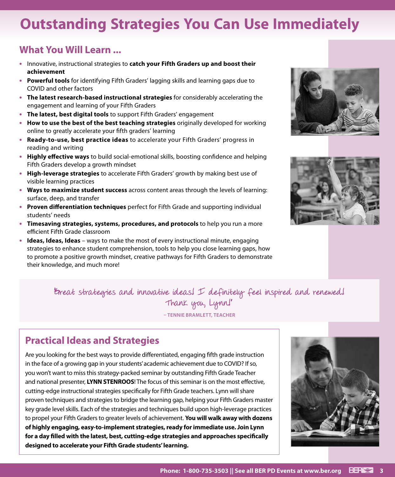### **Outstanding Strategies You Can Use Immediately**

### **What You Will Learn ...**

- **•** Innovative, instructional strategies to **catch your Fifth Graders up and boost their achievement**
- **• Powerful tools** for identifying Fifth Graders' lagging skills and learning gaps due to COVID and other factors
- **• The latest research-based instructional strategies** for considerably accelerating the engagement and learning of your Fifth Graders
- **• The latest, best digital tools** to support Fifth Graders' engagement
- **• How to use the best of the best teaching strategies** originally developed for working online to greatly accelerate your fifth graders' learning
- **• Ready-to-use, best practice ideas** to accelerate your Fifth Graders' progress in reading and writing
- **• Highly effective ways** to build social-emotional skills, boosting confidence and helping Fifth Graders develop a growth mindset
- **• High-leverage strategies** to accelerate Fifth Graders' growth by making best use of visible learning practices
- **• Ways to maximize student success** across content areas through the levels of learning: surface, deep, and transfer
- **• Proven differentiation techniques** perfect for Fifth Grade and supporting individual students' needs
- **• Timesaving strategies, systems, procedures, and protocols** to help you run a more efficient Fifth Grade classroom
- **• Ideas, Ideas, Ideas** ways to make the most of every instructional minute, engaging strategies to enhance student comprehension, tools to help you close learning gaps, how to promote a positive growth mindset, creative pathways for Fifth Graders to demonstrate their knowledge, and much more!





"Great strategies and innovative ideas! I definitely feel inspired and renewed! Thank you, Lynn!"

**– TENNIE BRAMLETT, TEACHER**

### **Practical Ideas and Strategies**

Are you looking for the best ways to provide differentiated, engaging fifth grade instruction in the face of a growing gap in your students' academic achievement due to COVID? If so, you won't want to miss this strategy-packed seminar by outstanding Fifth Grade Teacher and national presenter, **LYNN STENROOS**! The focus of this seminar is on the most effective, cutting-edge instructional strategies specifically for Fifth Grade teachers. Lynn will share proven techniques and strategies to bridge the learning gap, helping your Fifth Graders master key grade level skills. Each of the strategies and techniques build upon high-leverage practices to propel your Fifth Graders to greater levels of achievement. **You will walk away with dozens of highly engaging, easy-to-implement strategies, ready for immediate use. Join Lynn for a day filled with the latest, best, cutting-edge strategies and approaches specifically designed to accelerate your Fifth Grade students' learning.**

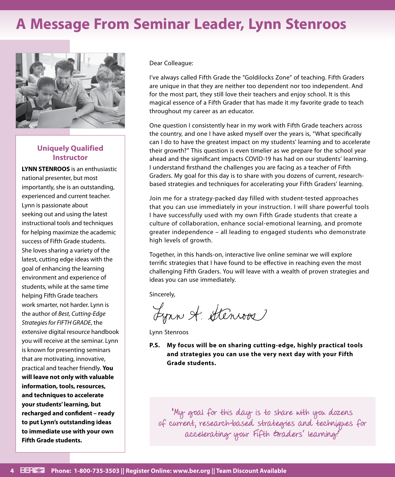### **A Message From Seminar Leader, Lynn Stenroos**



### **Uniquely Qualified Instructor**

**LYNN STENROOS** is an enthusiastic national presenter, but most importantly, she is an outstanding, experienced and current teacher. Lynn is passionate about seeking out and using the latest instructional tools and techniques for helping maximize the academic success of Fifth Grade students. She loves sharing a variety of the latest, cutting edge ideas with the goal of enhancing the learning environment and experience of students, while at the same time helping Fifth Grade teachers work smarter, not harder. Lynn is the author of *Best, Cutting-Edge Strategies for FIFTH GRADE*, the extensive digital resource handbook you will receive at the seminar. Lynn is known for presenting seminars that are motivating, innovative, practical and teacher friendly. **You will leave not only with valuable information, tools, resources, and techniques to accelerate your students' learning, but recharged and confident – ready to put Lynn's outstanding ideas to immediate use with your own Fifth Grade students.**

Dear Colleague:

I've always called Fifth Grade the "Goldilocks Zone" of teaching. Fifth Graders are unique in that they are neither too dependent nor too independent. And for the most part, they still love their teachers and enjoy school. It is this magical essence of a Fifth Grader that has made it my favorite grade to teach throughout my career as an educator.

One question I consistently hear in my work with Fifth Grade teachers across the country, and one I have asked myself over the years is, "What specifically can I do to have the greatest impact on my students' learning and to accelerate their growth?" This question is even timelier as we prepare for the school year ahead and the significant impacts COVID-19 has had on our students' learning. I understand firsthand the challenges you are facing as a teacher of Fifth Graders. My goal for this day is to share with you dozens of current, researchbased strategies and techniques for accelerating your Fifth Graders' learning.

Join me for a strategy-packed day filled with student-tested approaches that you can use immediately in your instruction. I will share powerful tools I have successfully used with my own Fifth Grade students that create a culture of collaboration, enhance social-emotional learning, and promote greater independence – all leading to engaged students who demonstrate high levels of growth.

Together, in this hands-on, interactive live online seminar we will explore terrific strategies that I have found to be effective in reaching even the most challenging Fifth Graders. You will leave with a wealth of proven strategies and ideas you can use immediately.

Sincerely,

Lynn A. Stenroos

Lynn Stenroos

**P.S. My focus will be on sharing cutting-edge, highly practical tools and strategies you can use the very next day with your Fifth Grade students.**

"My goal for this day is to share with you dozens of current, research-based strategies and techniques for accelerating your Fifth Graders' learning."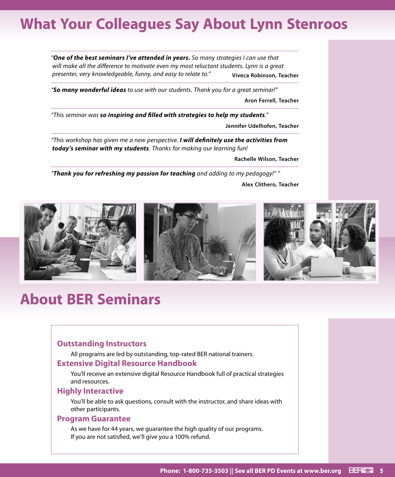### **What Your Colleagues Say About Lynn Stenroos**

*"One of the best seminars I've attended in years. So many strategies I can use that will make all the difference to motivate even my most reluctant students. Lynn is a great presenter, very knowledgeable, funny, and easy to relate to."* **Viveca Robinson, Teacher**

*"So many wonderful ideas to use with our students. Thank you for a great seminar!"* 

**Aron Ferrell, Teacher** 

*"This seminar was so inspiring and filled with strategies to help my students."* 

**Jennifer Udelhofen, Teacher** 

*"This workshop has given me a new perspective. I will definitely use the activities from today's seminar with my students. Thanks for making our learning fun!* 

**Rachelle Wilson, Teacher**

*"Thank you for refreshing my passion for teaching and adding to my pedagogy!" "* 

**Alex Clithero, Teacher**



### **About BER Seminars**

### **Outstanding Instructors**

All programs are led by outstanding, top-rated BER national trainers.

#### **Extensive Digital Resource Handbook**

You'll receive an extensive digital Resource Handbook full of practical strategies and resources.

#### **Highly Interactive**

You'll be able to ask questions, consult with the instructor, and share ideas with other participants.

#### **Program Guarantee**

As we have for 44 years, we guarantee the high quality of our programs. If you are not satisfied, we'll give you a 100% refund.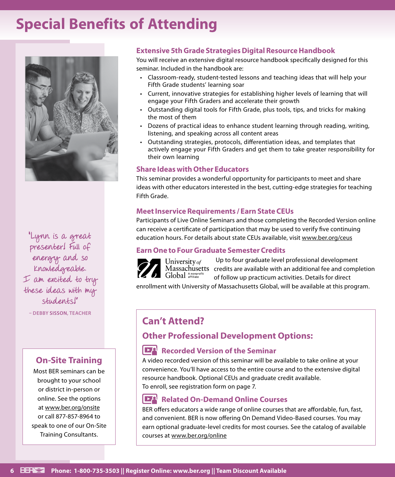### **Special Benefits of Attending**



"Lynn is a great presenter! Full of energy and so knowledgeable. I am excited to try these ideas with my students!"

**– DEBBY SISSON, TEACHER**

### **On-Site Training**

Most BER seminars can be brought to your school or district in-person or online. See the options at www.ber.org/onsite or call 877-857-8964 to speak to one of our On-Site Training Consultants.

### **Extensive 5th Grade Strategies Digital Resource Handbook**

You will receive an extensive digital resource handbook specifically designed for this seminar. Included in the handbook are:

- Classroom-ready, student-tested lessons and teaching ideas that will help your Fifth Grade students' learning soar
- Current, innovative strategies for establishing higher levels of learning that will engage your Fifth Graders and accelerate their growth
- Outstanding digital tools for Fifth Grade, plus tools, tips, and tricks for making the most of them
- Dozens of practical ideas to enhance student learning through reading, writing, listening, and speaking across all content areas
- Outstanding strategies, protocols, differentiation ideas, and templates that actively engage your Fifth Graders and get them to take greater responsibility for their own learning

### **Share Ideas with Other Educators**

This seminar provides a wonderful opportunity for participants to meet and share ideas with other educators interested in the best, cutting-edge strategies for teaching Fifth Grade.

### **Meet Inservice Requirements / Earn State CEUs**

Participants of Live Online Seminars and those completing the Recorded Version online can receive a certificate of participation that may be used to verify five continuing education hours. For details about state CEUs available, visit www.ber.org/ceus

### **Earn One to Four Graduate Semester Credits**



Up to four graduate level professional development Massachusetts credits are available with an additional fee and completion of follow up practicum activities. Details for direct

enrollment with University of Massachusetts Global, will be available at this program.

### **Can't Attend?**

### **Other Professional Development Options:**

### **Recorded Version of the Seminar**

A video recorded version of this seminar will be available to take online at your convenience. You'll have access to the entire course and to the extensive digital resource handbook. Optional CEUs and graduate credit available. To enroll, see registration form on page 7.

#### $\mathbf{E}^{\mathbf{A}}$ **Related On-Demand Online Courses**

BER offers educators a wide range of online courses that are affordable, fun, fast, and convenient. BER is now offering On Demand Video-Based courses. You may earn optional graduate-level credits for most courses. See the catalog of available courses at www.ber.org/online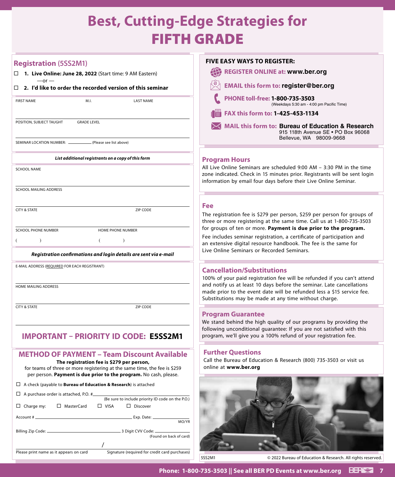### **Best, Cutting-Edge Strategies for**  FIFTH GRADE

| <b>Registration (5SS2M1)</b>                                                                                                                                                                                                                      | <b>FIVE EASY WAYS TO REGISTER:</b>                                                                                                                                                                                    |
|---------------------------------------------------------------------------------------------------------------------------------------------------------------------------------------------------------------------------------------------------|-----------------------------------------------------------------------------------------------------------------------------------------------------------------------------------------------------------------------|
| 1. Live Online: June 28, 2022 (Start time: 9 AM Eastern)                                                                                                                                                                                          | <b>REGISTER ONLINE at: www.ber.org</b>                                                                                                                                                                                |
| $-or-$<br>2. I'd like to order the recorded version of this seminar<br>$\Box$                                                                                                                                                                     | <b>EMAIL this form to: register@ber.org</b>                                                                                                                                                                           |
| <b>FIRST NAME</b><br>M.I.<br><b>LAST NAME</b>                                                                                                                                                                                                     | PHONE toll-free: 1-800-735-3503<br>(Weekdays 5:30 am - 4:00 pm Pacific Time)                                                                                                                                          |
|                                                                                                                                                                                                                                                   | FAX this form to: 1-425-453-1134                                                                                                                                                                                      |
| POSITION, SUBJECT TAUGHT<br><b>GRADE LEVEL</b>                                                                                                                                                                                                    | MAIL this form to: Bureau of Education & Research<br>915 118th Avenue SE . PO Box 96068                                                                                                                               |
| SEMINAR LOCATION NUMBER: ______<br>(Please see list above)                                                                                                                                                                                        | Bellevue, WA 98009-9668                                                                                                                                                                                               |
| List additional registrants on a copy of this form                                                                                                                                                                                                | <b>Program Hours</b>                                                                                                                                                                                                  |
| <b>SCHOOL NAME</b>                                                                                                                                                                                                                                | All Live Online Seminars are scheduled 9:00 AM - 3:30 PM in the time<br>zone indicated. Check in 15 minutes prior. Registrants will be sent login<br>information by email four days before their Live Online Seminar. |
| SCHOOL MAILING ADDRESS                                                                                                                                                                                                                            |                                                                                                                                                                                                                       |
|                                                                                                                                                                                                                                                   | <b>Fee</b>                                                                                                                                                                                                            |
| <b>CITY &amp; STATE</b><br>ZIP CODE                                                                                                                                                                                                               | The registration fee is \$279 per person, \$259 per person for groups of<br>three or more registering at the same time. Call us at 1-800-735-3503                                                                     |
| <b>SCHOOL PHONE NUMBER</b><br>HOME PHONE NUMBER                                                                                                                                                                                                   | for groups of ten or more. Payment is due prior to the program.<br>Fee includes seminar registration, a certificate of participation and                                                                              |
| $\lambda$                                                                                                                                                                                                                                         | an extensive digital resource handbook. The fee is the same for                                                                                                                                                       |
| Registration confirmations and login details are sent via e-mail                                                                                                                                                                                  | Live Online Seminars or Recorded Seminars.                                                                                                                                                                            |
| E-MAIL ADDRESS (REQUIRED FOR EACH REGISTRANT)                                                                                                                                                                                                     | <b>Cancellation/Substitutions</b>                                                                                                                                                                                     |
|                                                                                                                                                                                                                                                   | 100% of your paid registration fee will be refunded if you can't attend                                                                                                                                               |
| HOME MAILING ADDRESS                                                                                                                                                                                                                              | and notify us at least 10 days before the seminar. Late cancellations<br>made prior to the event date will be refunded less a \$15 service fee.<br>Substitutions may be made at any time without charge.              |
| <b>CITY &amp; STATE</b><br>ZIP CODE                                                                                                                                                                                                               |                                                                                                                                                                                                                       |
|                                                                                                                                                                                                                                                   | <b>Program Guarantee</b><br>We stand behind the high quality of our programs by providing the                                                                                                                         |
| <b>IMPORTANT - PRIORITY ID CODE: E5SS2M1</b>                                                                                                                                                                                                      | following unconditional guarantee: If you are not satisfied with this<br>program, we'll give you a 100% refund of your registration fee.                                                                              |
| <b>METHOD OF PAYMENT - Team Discount Available</b><br>The registration fee is \$279 per person,<br>for teams of three or more registering at the same time, the fee is \$259<br>per person. Payment is due prior to the program. No cash, please. | <b>Further Questions</b><br>Call the Bureau of Education & Research (800) 735-3503 or visit us<br>online at www.ber.org                                                                                               |
| $\Box$ A check (payable to <b>Bureau of Education &amp; Research</b> ) is attached                                                                                                                                                                |                                                                                                                                                                                                                       |
| $\Box$ A purchase order is attached, P.O. # $\Box$                                                                                                                                                                                                |                                                                                                                                                                                                                       |
| (Be sure to include priority ID code on the P.O.)<br>$\Box$ Charge my:<br>□ MasterCard<br>$\Box$ VISA<br>$\Box$ Discover                                                                                                                          |                                                                                                                                                                                                                       |
|                                                                                                                                                                                                                                                   |                                                                                                                                                                                                                       |
| MO/YR                                                                                                                                                                                                                                             |                                                                                                                                                                                                                       |
| (Found on back of card)                                                                                                                                                                                                                           |                                                                                                                                                                                                                       |
| Signature (required for credit card purchases)<br>Please print name as it appears on card                                                                                                                                                         | 5SS2M1<br>© 2022 Bureau of Education & Research. All rights reserved.                                                                                                                                                 |

### **Phone: 1-800-735-3503 || See all BER PD Events at www.ber.org 7**